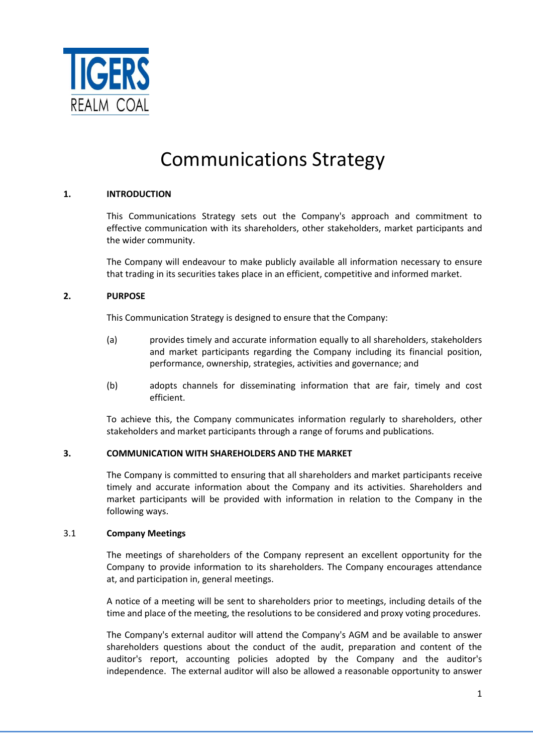

# Communications Strategy

# **1. INTRODUCTION**

This Communications Strategy sets out the Company's approach and commitment to effective communication with its shareholders, other stakeholders, market participants and the wider community.

The Company will endeavour to make publicly available all information necessary to ensure that trading in its securities takes place in an efficient, competitive and informed market.

### **2. PURPOSE**

This Communication Strategy is designed to ensure that the Company:

- (a) provides timely and accurate information equally to all shareholders, stakeholders and market participants regarding the Company including its financial position, performance, ownership, strategies, activities and governance; and
- (b) adopts channels for disseminating information that are fair, timely and cost efficient.

To achieve this, the Company communicates information regularly to shareholders, other stakeholders and market participants through a range of forums and publications.

### **3. COMMUNICATION WITH SHAREHOLDERS AND THE MARKET**

The Company is committed to ensuring that all shareholders and market participants receive timely and accurate information about the Company and its activities. Shareholders and market participants will be provided with information in relation to the Company in the following ways.

### 3.1 **Company Meetings**

The meetings of shareholders of the Company represent an excellent opportunity for the Company to provide information to its shareholders. The Company encourages attendance at, and participation in, general meetings.

A notice of a meeting will be sent to shareholders prior to meetings, including details of the time and place of the meeting, the resolutions to be considered and proxy voting procedures.

The Company's external auditor will attend the Company's AGM and be available to answer shareholders questions about the conduct of the audit, preparation and content of the auditor's report, accounting policies adopted by the Company and the auditor's independence. The external auditor will also be allowed a reasonable opportunity to answer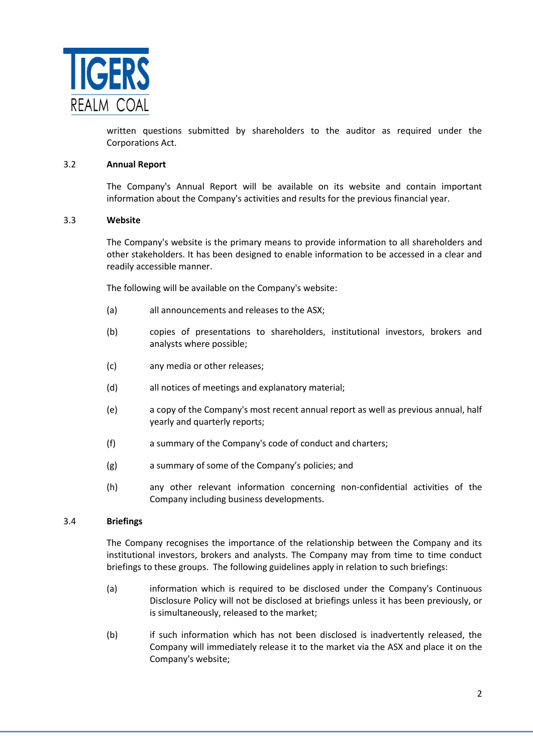

written questions submitted by shareholders to the auditor as required under the Corporations Act.

### 3.2 **Annual Report**

The Company's Annual Report will be available on its website and contain important information about the Company's activities and results for the previous financial year.

### 3.3 **Website**

The Company's website is the primary means to provide information to all shareholders and other stakeholders. It has been designed to enable information to be accessed in a clear and readily accessible manner.

The following will be available on the Company's website:

- (a) all announcements and releases to the ASX;
- (b) copies of presentations to shareholders, institutional investors, brokers and analysts where possible;
- (c) any media or other releases;
- (d) all notices of meetings and explanatory material;
- (e) a copy of the Company's most recent annual report as well as previous annual, half yearly and quarterly reports;
- (f) a summary of the Company's code of conduct and charters;
- (g) a summary of some of the Company's policies; and
- (h) any other relevant information concerning non-confidential activities of the Company including business developments.

### 3.4 **Briefings**

The Company recognises the importance of the relationship between the Company and its institutional investors, brokers and analysts. The Company may from time to time conduct briefings to these groups. The following guidelines apply in relation to such briefings:

- (a) information which is required to be disclosed under the Company's Continuous Disclosure Policy will not be disclosed at briefings unless it has been previously, or is simultaneously, released to the market;
- (b) if such information which has not been disclosed is inadvertently released, the Company will immediately release it to the market via the ASX and place it on the Company's website;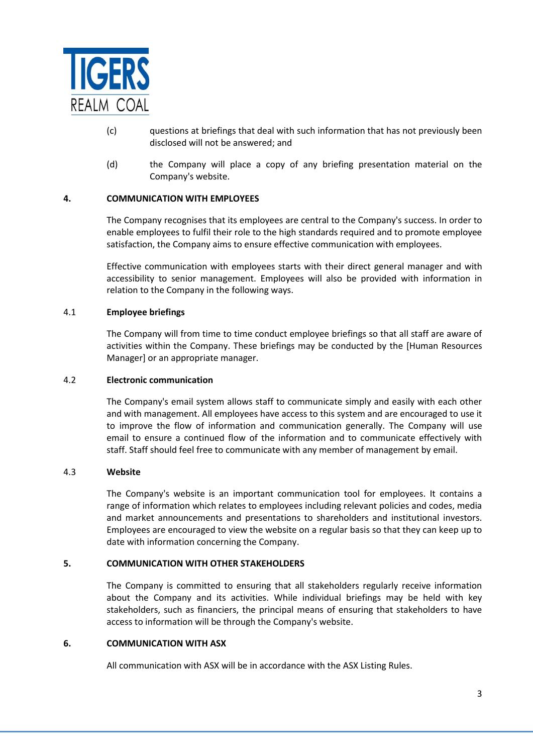

- (c) questions at briefings that deal with such information that has not previously been disclosed will not be answered; and
- (d) the Company will place a copy of any briefing presentation material on the Company's website.

# **4. COMMUNICATION WITH EMPLOYEES**

The Company recognises that its employees are central to the Company's success. In order to enable employees to fulfil their role to the high standards required and to promote employee satisfaction, the Company aims to ensure effective communication with employees.

Effective communication with employees starts with their direct general manager and with accessibility to senior management. Employees will also be provided with information in relation to the Company in the following ways.

### 4.1 **Employee briefings**

The Company will from time to time conduct employee briefings so that all staff are aware of activities within the Company. These briefings may be conducted by the [Human Resources Manager] or an appropriate manager.

#### 4.2 **Electronic communication**

The Company's email system allows staff to communicate simply and easily with each other and with management. All employees have access to this system and are encouraged to use it to improve the flow of information and communication generally. The Company will use email to ensure a continued flow of the information and to communicate effectively with staff. Staff should feel free to communicate with any member of management by email.

#### 4.3 **Website**

The Company's website is an important communication tool for employees. It contains a range of information which relates to employees including relevant policies and codes, media and market announcements and presentations to shareholders and institutional investors. Employees are encouraged to view the website on a regular basis so that they can keep up to date with information concerning the Company.

### **5. COMMUNICATION WITH OTHER STAKEHOLDERS**

The Company is committed to ensuring that all stakeholders regularly receive information about the Company and its activities. While individual briefings may be held with key stakeholders, such as financiers, the principal means of ensuring that stakeholders to have access to information will be through the Company's website.

## **6. COMMUNICATION WITH ASX**

All communication with ASX will be in accordance with the ASX Listing Rules.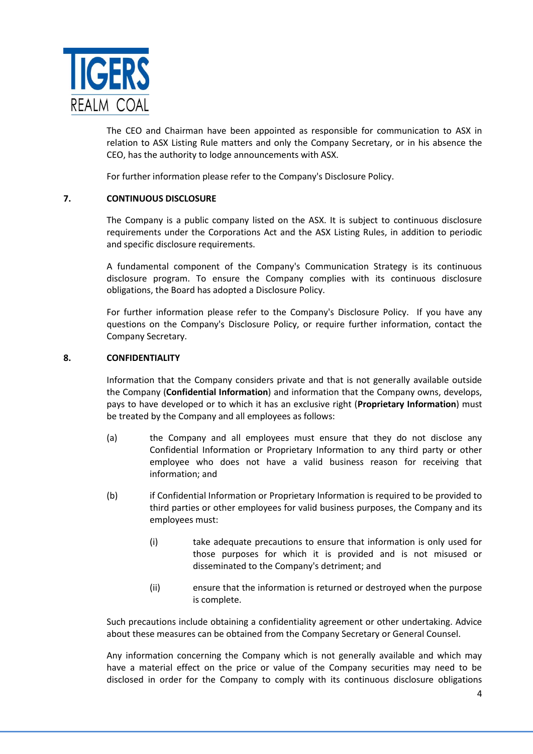

The CEO and Chairman have been appointed as responsible for communication to ASX in relation to ASX Listing Rule matters and only the Company Secretary, or in his absence the CEO, has the authority to lodge announcements with ASX.

For further information please refer to the Company's Disclosure Policy.

# **7. CONTINUOUS DISCLOSURE**

The Company is a public company listed on the ASX. It is subject to continuous disclosure requirements under the Corporations Act and the ASX Listing Rules, in addition to periodic and specific disclosure requirements.

A fundamental component of the Company's Communication Strategy is its continuous disclosure program. To ensure the Company complies with its continuous disclosure obligations, the Board has adopted a Disclosure Policy.

For further information please refer to the Company's Disclosure Policy. If you have any questions on the Company's Disclosure Policy, or require further information, contact the Company Secretary.

### **8. CONFIDENTIALITY**

Information that the Company considers private and that is not generally available outside the Company (**Confidential Information**) and information that the Company owns, develops, pays to have developed or to which it has an exclusive right (**Proprietary Information**) must be treated by the Company and all employees as follows:

- (a) the Company and all employees must ensure that they do not disclose any Confidential Information or Proprietary Information to any third party or other employee who does not have a valid business reason for receiving that information; and
- (b) if Confidential Information or Proprietary Information is required to be provided to third parties or other employees for valid business purposes, the Company and its employees must:
	- (i) take adequate precautions to ensure that information is only used for those purposes for which it is provided and is not misused or disseminated to the Company's detriment; and
	- (ii) ensure that the information is returned or destroyed when the purpose is complete.

Such precautions include obtaining a confidentiality agreement or other undertaking. Advice about these measures can be obtained from the Company Secretary or General Counsel.

Any information concerning the Company which is not generally available and which may have a material effect on the price or value of the Company securities may need to be disclosed in order for the Company to comply with its continuous disclosure obligations